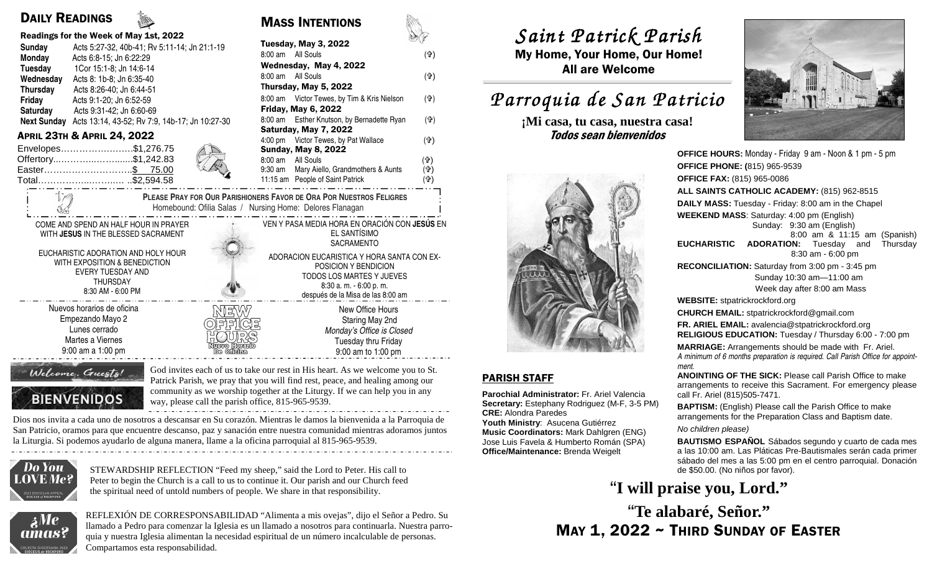# DAILY READINGS

|                    | Readings for the Week of May 1st, 2022         |                             |
|--------------------|------------------------------------------------|-----------------------------|
| Sunday             | Acts 5:27-32, 40b-41; Rv 5:11-14; Jn 21:1-19   | Tuesday, Ma                 |
| Monday             | Acts 6:8-15; Jn 6:22:29                        | All So<br>$8:00 \text{ am}$ |
| Tuesday            | 1Cor 15:1-8; Jn 14:6-14                        | Wednesday,                  |
| Wednesday          | Acts 8: 1b-8; Jn 6:35-40                       | All So<br>$8:00 \text{ am}$ |
| Thursday           | Acts 8:26-40; Jn 6:44-51                       | <b>Thursday, Ma</b>         |
| Friday             | Acts 9:1-20; Jn 6:52-59                        | Victo<br>$8:00 \text{ am}$  |
| Saturday           | Acts 9:31-42; Jn 6:60-69                       | Friday, May                 |
| <b>Next Sunday</b> | Acts 13:14, 43-52; Rv 7:9, 14b-17; Jn 10:27-30 | Esthe<br>$8:00 \text{ am}$  |
|                    | Лори 22ти 8. Лори 24 2022                      | <b>Saturday, Ma</b>         |

| Envelopes\$1,276.75 |                  |
|---------------------|------------------|
| Offertory\$1,242.83 | <b>CALL CALL</b> |
| Easter\$ 75.00      |                  |
| Total\$2,594.58     |                  |
|                     |                  |

EUCHARISTIC ADORATION AND HOLY HOUR WITH EXPOSITION & BENEDICTION EVERY TUESDAY AND THURSDAY 8:30 AM - 6:00 PM

Nuevos horarios de oficina Empezando Mayo 2 Lunes cerrado Martes a Viernes 9:00 am a 1:00 pm

| $100$ $100$ $100$ $110$ $1100$ $1100$ $100$                                               | SV                                                                                                                              | $J$ ULILL $L$ ULILL $\Lambda$ $L$ U |
|-------------------------------------------------------------------------------------------|---------------------------------------------------------------------------------------------------------------------------------|-------------------------------------|
| Acts 5:27-32, 40b-41; Rv 5:11-14; Jn 21:1-19<br>Sunday                                    | Tuesday, May 3, 2022                                                                                                            |                                     |
| Monday<br>Acts 6:8-15: Jn 6:22:29                                                         | 8:00 am All Souls<br>(f)                                                                                                        | My Home, Your Home, Our             |
| 1Cor 15:1-8; Jn 14:6-14<br>Tuesday                                                        | Wednesday, May 4, 2022                                                                                                          | <b>All are Welcome</b>              |
| Acts 8: 1b-8; Jn 6:35-40<br>Wednesday                                                     | 8:00 am All Souls<br>(f)                                                                                                        |                                     |
| Acts 8:26-40; Jn 6:44-51<br>Thursday                                                      | Thursday, May 5, 2022                                                                                                           |                                     |
| Friday<br>Acts 9:1-20; Jn 6:52-59                                                         | (유)<br>8:00 am Victor Tewes, by Tim & Kris Nielson                                                                              | Parroquia de San P                  |
| Saturday<br>Acts 9:31-42; Jn 6:60-69                                                      | <b>Friday, May 6, 2022</b>                                                                                                      |                                     |
| Next Sunday Acts 13:14, 43-52; Rv 7:9, 14b-17; Jn 10:27-30                                | 8:00 am Esther Knutson, by Bernadette Ryan<br>(급)<br>Saturday, May 7, 2022                                                      | ¡Mi casa, tu casa, nuestra          |
| <b>APRIL 23TH &amp; APRIL 24, 2022</b>                                                    | (유)<br>4:00 pm Victor Tewes, by Pat Wallace                                                                                     | Todos sean bienvenidos              |
| Envelopes\$1,276.75                                                                       | <b>Sunday, May 8, 2022</b>                                                                                                      |                                     |
| Offertory\$1,242.83                                                                       | 8:00 am All Souls<br>(유)                                                                                                        |                                     |
| Easter\$ 75.00<br>Total\$2,594.58                                                         | Mary Aiello, Grandmothers & Aunts<br>(4)<br>9:30 am<br>11:15 am People of Saint Patrick<br>(유)                                  |                                     |
|                                                                                           | PLEASE PRAY FOR OUR PARISHIONERS FAVOR DE ORA POR NUESTROS FELIGRES<br>Homebound: Ofilia Salas / Nursing Home: Delores Flanagan |                                     |
| COME AND SPEND AN HALF HOUR IN PRAYER                                                     | VEN Y PASA MEDIA HORA EN ORACIÓN CON JESÚS EN                                                                                   |                                     |
| WITH JESUS IN THE BLESSED SACRAMENT                                                       | EL SANTÍSIMO<br>SACRAMENTO                                                                                                      |                                     |
| EUCHARISTIC ADORATION AND HOLY HOUR<br>WITH EXPOSITION & BENEDICTION<br>EVERY TUESDAY AND | ADORACION EUCARISTICA Y HORA SANTA CON EX-<br>POSICION Y BENDICION<br>TODOS LOS MARTES Y JUEVES                                 |                                     |
| <b>THURSDAY</b>                                                                           | $8:30$ a. m. $-6:00$ p. m.                                                                                                      |                                     |

MASS INTENTIONS

 después de la Misa de las 8:00 am New Office Hours Staring May 2nd Monday's Office is Closed Tuesday thru Friday 9:00 am to 1:00 pm

## Welcome, Guests!

**BIENVENIDOS** 

God invites each of us to take our rest in His heart. As we welcome you to St. Patrick Parish, we pray that you will find rest, peace, and healing among our community as we worship together at the Liturgy. If we can help you in any way, please call the parish office, 815-965-9539.

Dios nos invita a cada uno de nosotros a descansar en Su corazón. Mientras le damos la bienvenida a la Parroquia de San Patricio, oramos para que encuentre descanso, paz y sanación entre nuestra comunidad mientras adoramos juntos la Liturgia. Si podemos ayudarlo de alguna manera, llame a la oficina parroquial al 815-965-9539.



STEWARDSHIP REFLECTION "Feed my sheep," said the Lord to Peter. His call to Peter to begin the Church is a call to us to continue it. Our parish and our Church feed the spiritual need of untold numbers of people. We share in that responsibility.



REFLEXIÓN DE CORRESPONSABILIDAD "Alimenta a mis ovejas", dijo el Señor a Pedro. Su llamado a Pedro para comenzar la Iglesia es un llamado a nosotros para continuarla. Nuestra parroquia y nuestra Iglesia alimentan la necesidad espiritual de un número incalculable de personas. Compartamos esta responsabilidad.

*Saint Patrick Parish Saint Parish*

 My Home, Your Home, Our Home! All are Welcome

# *Parroquia de San Patricio San Patricio*

**¡Mi casa, tu casa, nuestra casa!** 



### PARISH STAFF

**Parochial Administrator:** Fr. Ariel Valencia **Secretary:** Estephany Rodriguez (M-F, 3-5 PM)**CRE:** Alondra Paredes

 **Youth Ministry**: Asucena Gutiérrez **Music Coordinators:** Mark Dahlgren (ENG) Jose Luis Favela & Humberto Román (SPA) **Office/Maintenance:** Brenda Weigelt



**OFFICE HOURS:** Monday - Friday 9 am - Noon & 1 pm - 5 pm**OFFICE PHONE: (**815) 965-9539**OFFICE FAX:** (815) 965-0086 **ALL SAINTS CATHOLIC ACADEMY:** (815) 962-8515**DAILY MASS:** Tuesday - Friday: 8:00 am in the Chapel**WEEKEND MASS**: Saturday: 4:00 pm (English) Sunday: 9:30 am (English) 8:00 am & 11:15 am (Spanish) **EUCHARISTIC ADORATION:** Tuesday and Thursday 8:30 am - 6:00 pm **RECONCILIATION:** Saturday from 3:00 pm - 3:45 pm Sunday 10:30 am—11:00 am Week day after 8:00 am Mass**WEBSITE:** stpatrickrockford.org **CHURCH EMAIL:** stpatrickrockford@gmail.com **FR. ARIEL EMAIL:** avalencia@stpatrickrockford.org **RELIGIOUS EDUCATION:** Tuesday / Thursday 6:00 - 7:00 pm**MARRIAGE:** Arrangements should be made with Fr. Ariel. A minimum of 6 months preparation is required. Call Parish Office for appointment. **ANOINTING OF THE SICK:** Please call Parish Office to make arrangements to receive this Sacrament. For emergency please call Fr. Ariel (815)505-7471.**BAPTISM:** (English) Please call the Parish Office to make arrangements for the Preparation Class and Baptism date. No children please)**BAUTISMO ESPAÑOL** Sábados segundo y cuarto de cada mes

 a las 10:00 am. Las Pláticas Pre-Bautismales serán cada primer sábado del mes a las 5:00 pm en el centro parroquial. Donación de \$50.00. (No niños por favor).

# **"I will praise you, Lord."**

MAY 1, 2022 ~ THIRD SUNDAY OF EASTER **"Te alabaré, Señor."**